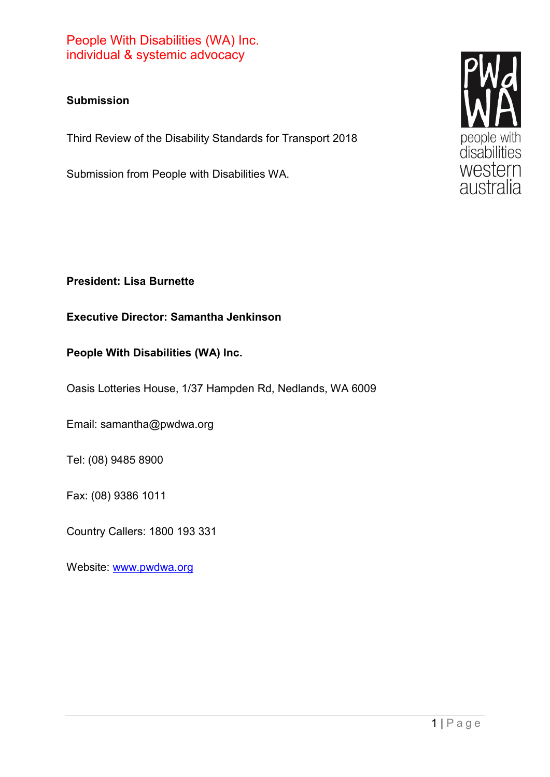#### **Submission**

Third Review of the Disability Standards for Transport 2018

Submission from People with Disabilities WA.



#### **Executive Director: Samantha Jenkinson**

#### **People With Disabilities (WA) Inc.**

Oasis Lotteries House, 1/37 Hampden Rd, Nedlands, WA 6009

Email: samantha@pwdwa.org

Tel: (08) 9485 8900

Fax: (08) 9386 1011

Country Callers: 1800 193 331

Website: [www.pwdwa.org](http://www.pwdwa.org/)

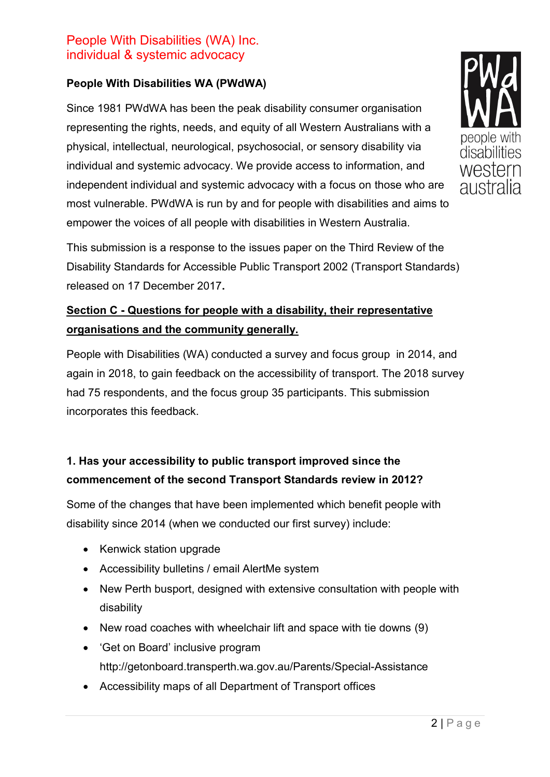#### **People With Disabilities WA (PWdWA)**

Since 1981 PWdWA has been the peak disability consumer organisation representing the rights, needs, and equity of all Western Australians with a physical, intellectual, neurological, psychosocial, or sensory disability via individual and systemic advocacy. We provide access to information, and independent individual and systemic advocacy with a focus on those who are most vulnerable. PWdWA is run by and for people with disabilities and aims to empower the voices of all people with disabilities in Western Australia.



## **Section C - Questions for people with a disability, their representative organisations and the community generally.**

People with Disabilities (WA) conducted a survey and focus group in 2014, and again in 2018, to gain feedback on the accessibility of transport. The 2018 survey had 75 respondents, and the focus group 35 participants. This submission incorporates this feedback.

## **1. Has your accessibility to public transport improved since the commencement of the second Transport Standards review in 2012?**

Some of the changes that have been implemented which benefit people with disability since 2014 (when we conducted our first survey) include:

- Kenwick station upgrade
- Accessibility bulletins / email AlertMe system
- New Perth busport, designed with extensive consultation with people with disability
- New road coaches with wheelchair lift and space with tie downs (9)
- 'Get on Board' inclusive program http://getonboard.transperth.wa.gov.au/Parents/Special-Assistance
- Accessibility maps of all Department of Transport offices

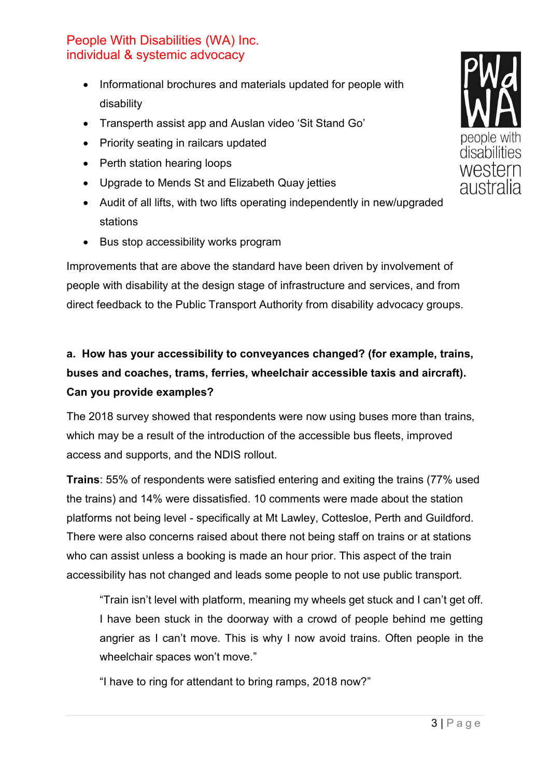- Informational brochures and materials updated for people with disability
- Transperth assist app and Auslan video 'Sit Stand Go'
- Priority seating in railcars updated
- Perth station hearing loops
- Upgrade to Mends St and Elizabeth Quay jetties
- Audit of all lifts, with two lifts operating independently in new/upgraded stations
- Bus stop accessibility works program

Improvements that are above the standard have been driven by involvement of people with disability at the design stage of infrastructure and services, and from direct feedback to the Public Transport Authority from disability advocacy groups.

# **a. How has your accessibility to conveyances changed? (for example, trains, buses and coaches, trams, ferries, wheelchair accessible taxis and aircraft). Can you provide examples?**

The 2018 survey showed that respondents were now using buses more than trains, which may be a result of the introduction of the accessible bus fleets, improved access and supports, and the NDIS rollout.

**Trains**: 55% of respondents were satisfied entering and exiting the trains (77% used the trains) and 14% were dissatisfied. 10 comments were made about the station platforms not being level - specifically at Mt Lawley, Cottesloe, Perth and Guildford. There were also concerns raised about there not being staff on trains or at stations who can assist unless a booking is made an hour prior. This aspect of the train accessibility has not changed and leads some people to not use public transport.

"Train isn't level with platform, meaning my wheels get stuck and I can't get off. I have been stuck in the doorway with a crowd of people behind me getting angrier as I can't move. This is why I now avoid trains. Often people in the wheelchair spaces won't move."

"I have to ring for attendant to bring ramps, 2018 now?"

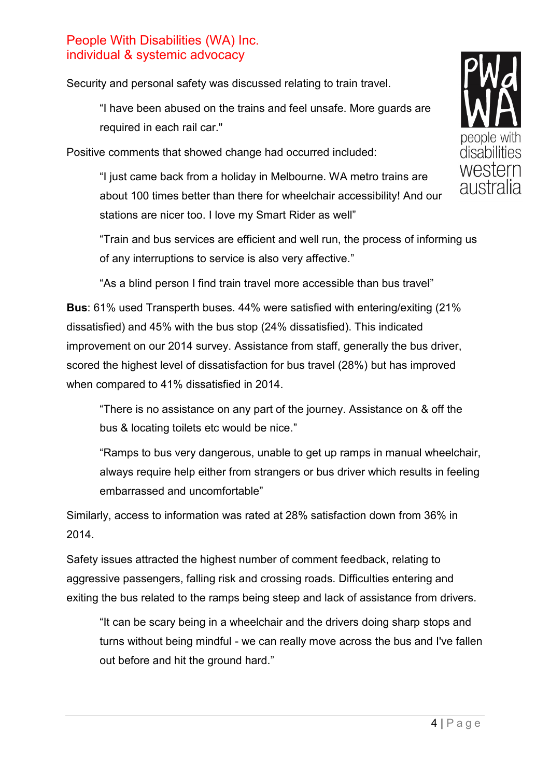Security and personal safety was discussed relating to train travel.

"I have been abused on the trains and feel unsafe. More guards are required in each rail car."

Positive comments that showed change had occurred included:

"I just came back from a holiday in Melbourne. WA metro trains are about 100 times better than there for wheelchair accessibility! And our stations are nicer too. I love my Smart Rider as well"



"As a blind person I find train travel more accessible than bus travel"

**Bus**: 61% used Transperth buses. 44% were satisfied with entering/exiting (21% dissatisfied) and 45% with the bus stop (24% dissatisfied). This indicated improvement on our 2014 survey. Assistance from staff, generally the bus driver, scored the highest level of dissatisfaction for bus travel (28%) but has improved when compared to 41% dissatisfied in 2014.

"There is no assistance on any part of the journey. Assistance on & off the bus & locating toilets etc would be nice."

"Ramps to bus very dangerous, unable to get up ramps in manual wheelchair, always require help either from strangers or bus driver which results in feeling embarrassed and uncomfortable"

Similarly, access to information was rated at 28% satisfaction down from 36% in 2014.

Safety issues attracted the highest number of comment feedback, relating to aggressive passengers, falling risk and crossing roads. Difficulties entering and exiting the bus related to the ramps being steep and lack of assistance from drivers.

"It can be scary being in a wheelchair and the drivers doing sharp stops and turns without being mindful - we can really move across the bus and I've fallen out before and hit the ground hard."

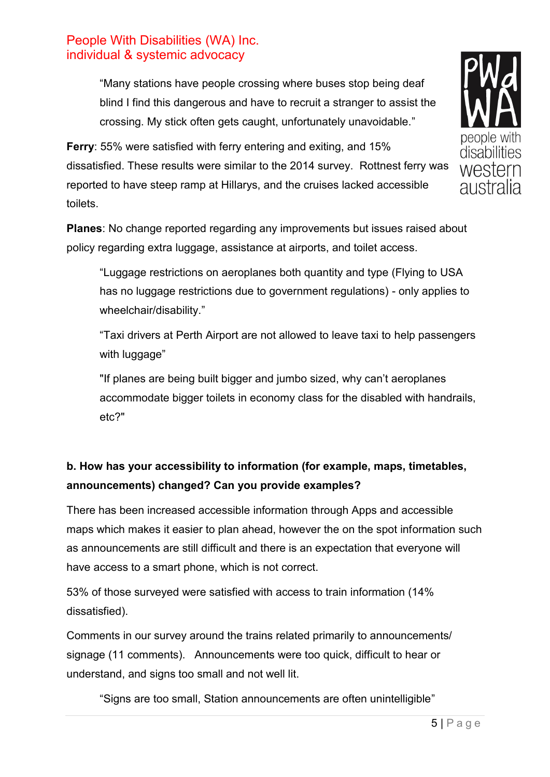"Many stations have people crossing where buses stop being deaf blind I find this dangerous and have to recruit a stranger to assist the crossing. My stick often gets caught, unfortunately unavoidable."

**Ferry**: 55% were satisfied with ferry entering and exiting, and 15% dissatisfied. These results were similar to the 2014 survey. Rottnest ferry was reported to have steep ramp at Hillarys, and the cruises lacked accessible toilets.



"Luggage restrictions on aeroplanes both quantity and type (Flying to USA has no luggage restrictions due to government regulations) - only applies to wheelchair/disability."

"Taxi drivers at Perth Airport are not allowed to leave taxi to help passengers with luggage"

"If planes are being built bigger and jumbo sized, why can't aeroplanes accommodate bigger toilets in economy class for the disabled with handrails, etc?"

## **b. How has your accessibility to information (for example, maps, timetables, announcements) changed? Can you provide examples?**

There has been increased accessible information through Apps and accessible maps which makes it easier to plan ahead, however the on the spot information such as announcements are still difficult and there is an expectation that everyone will have access to a smart phone, which is not correct.

53% of those surveyed were satisfied with access to train information (14% dissatisfied).

Comments in our survey around the trains related primarily to announcements/ signage (11 comments). Announcements were too quick, difficult to hear or understand, and signs too small and not well lit.

"Signs are too small, Station announcements are often unintelligible"

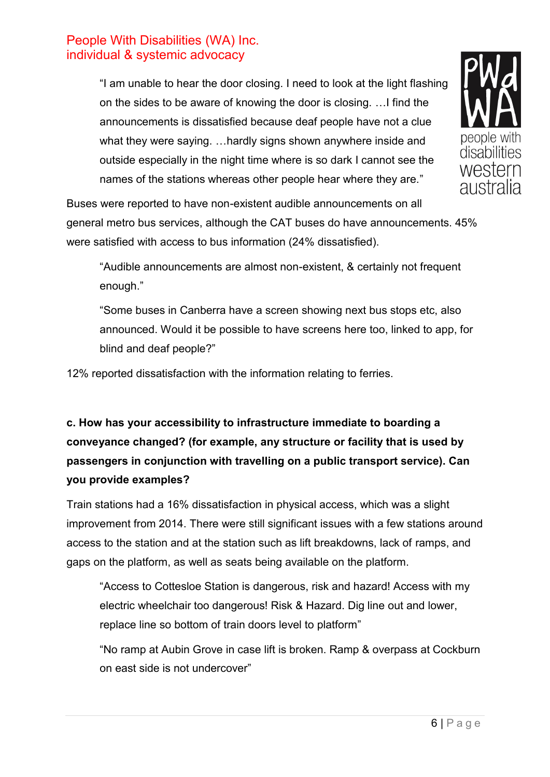"I am unable to hear the door closing. I need to look at the light flashing on the sides to be aware of knowing the door is closing. …I find the announcements is dissatisfied because deaf people have not a clue what they were saying. …hardly signs shown anywhere inside and outside especially in the night time where is so dark I cannot see the names of the stations whereas other people hear where they are."



Buses were reported to have non-existent audible announcements on all general metro bus services, although the CAT buses do have announcements. 45% were satisfied with access to bus information (24% dissatisfied).

"Audible announcements are almost non-existent, & certainly not frequent enough."

"Some buses in Canberra have a screen showing next bus stops etc, also announced. Would it be possible to have screens here too, linked to app, for blind and deaf people?"

12% reported dissatisfaction with the information relating to ferries.

# **c. How has your accessibility to infrastructure immediate to boarding a conveyance changed? (for example, any structure or facility that is used by passengers in conjunction with travelling on a public transport service). Can you provide examples?**

Train stations had a 16% dissatisfaction in physical access, which was a slight improvement from 2014. There were still significant issues with a few stations around access to the station and at the station such as lift breakdowns, lack of ramps, and gaps on the platform, as well as seats being available on the platform.

"Access to Cottesloe Station is dangerous, risk and hazard! Access with my electric wheelchair too dangerous! Risk & Hazard. Dig line out and lower, replace line so bottom of train doors level to platform"

"No ramp at Aubin Grove in case lift is broken. Ramp & overpass at Cockburn on east side is not undercover"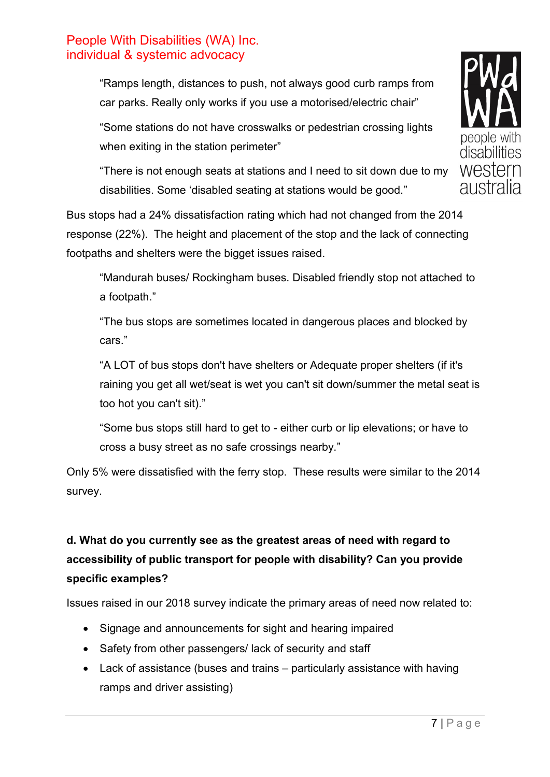"Ramps length, distances to push, not always good curb ramps from car parks. Really only works if you use a motorised/electric chair"

"Some stations do not have crosswalks or pedestrian crossing lights when exiting in the station perimeter"

"There is not enough seats at stations and I need to sit down due to my disabilities. Some 'disabled seating at stations would be good."

Bus stops had a 24% dissatisfaction rating which had not changed from the 2014 response (22%). The height and placement of the stop and the lack of connecting footpaths and shelters were the bigget issues raised.

"Mandurah buses/ Rockingham buses. Disabled friendly stop not attached to a footpath."

"The bus stops are sometimes located in dangerous places and blocked by cars."

"A LOT of bus stops don't have shelters or Adequate proper shelters (if it's raining you get all wet/seat is wet you can't sit down/summer the metal seat is too hot you can't sit)."

"Some bus stops still hard to get to - either curb or lip elevations; or have to cross a busy street as no safe crossings nearby."

Only 5% were dissatisfied with the ferry stop. These results were similar to the 2014 survey.

# **d. What do you currently see as the greatest areas of need with regard to accessibility of public transport for people with disability? Can you provide specific examples?**

Issues raised in our 2018 survey indicate the primary areas of need now related to:

- Signage and announcements for sight and hearing impaired
- Safety from other passengers/ lack of security and staff
- Lack of assistance (buses and trains particularly assistance with having ramps and driver assisting)

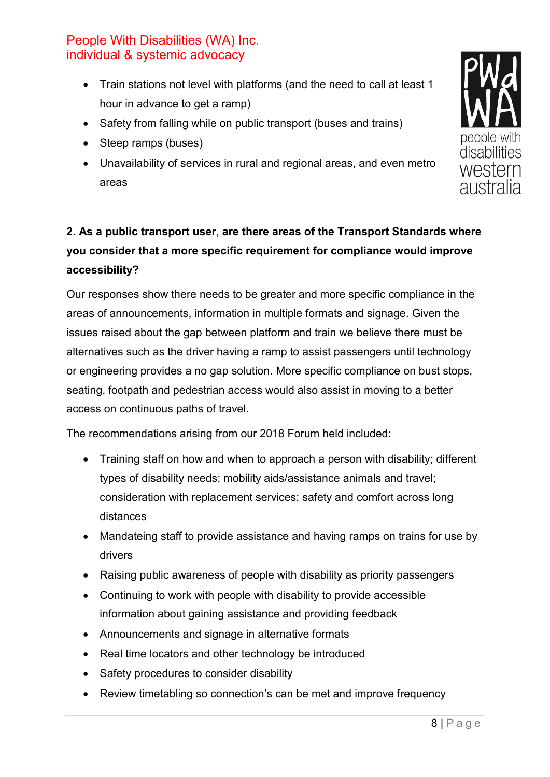- Train stations not level with platforms (and the need to call at least 1 hour in advance to get a ramp)
- Safety from falling while on public transport (buses and trains)
- Steep ramps (buses)
- Unavailability of services in rural and regional areas, and even metro areas

# **2. As a public transport user, are there areas of the Transport Standards where you consider that a more specific requirement for compliance would improve accessibility?**

Our responses show there needs to be greater and more specific compliance in the areas of announcements, information in multiple formats and signage. Given the issues raised about the gap between platform and train we believe there must be alternatives such as the driver having a ramp to assist passengers until technology or engineering provides a no gap solution. More specific compliance on bust stops, seating, footpath and pedestrian access would also assist in moving to a better access on continuous paths of travel.

The recommendations arising from our 2018 Forum held included:

- Training staff on how and when to approach a person with disability; different types of disability needs; mobility aids/assistance animals and travel; consideration with replacement services; safety and comfort across long distances
- Mandateing staff to provide assistance and having ramps on trains for use by drivers
- Raising public awareness of people with disability as priority passengers
- Continuing to work with people with disability to provide accessible information about gaining assistance and providing feedback
- Announcements and signage in alternative formats
- Real time locators and other technology be introduced
- Safety procedures to consider disability
- Review timetabling so connection's can be met and improve frequency

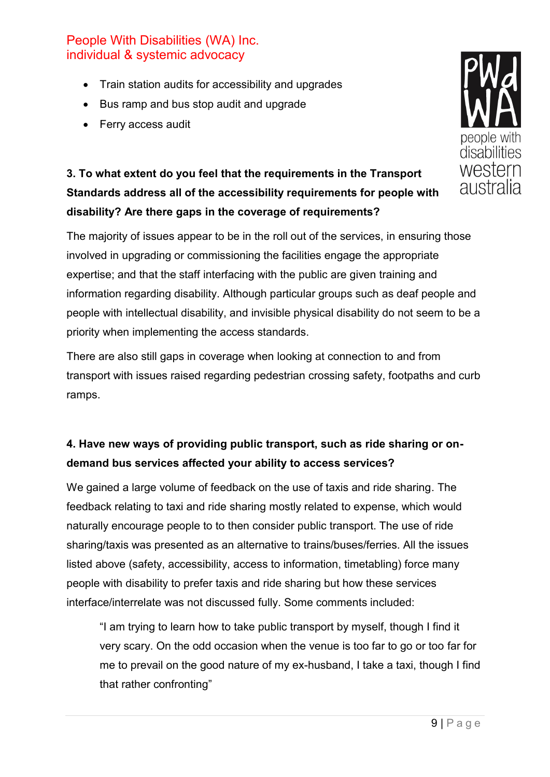- Train station audits for accessibility and upgrades
- Bus ramp and bus stop audit and upgrade
- Ferry access audit



The majority of issues appear to be in the roll out of the services, in ensuring those involved in upgrading or commissioning the facilities engage the appropriate expertise; and that the staff interfacing with the public are given training and information regarding disability. Although particular groups such as deaf people and people with intellectual disability, and invisible physical disability do not seem to be a priority when implementing the access standards.

There are also still gaps in coverage when looking at connection to and from transport with issues raised regarding pedestrian crossing safety, footpaths and curb ramps.

## **4. Have new ways of providing public transport, such as ride sharing or ondemand bus services affected your ability to access services?**

We gained a large volume of feedback on the use of taxis and ride sharing. The feedback relating to taxi and ride sharing mostly related to expense, which would naturally encourage people to to then consider public transport. The use of ride sharing/taxis was presented as an alternative to trains/buses/ferries. All the issues listed above (safety, accessibility, access to information, timetabling) force many people with disability to prefer taxis and ride sharing but how these services interface/interrelate was not discussed fully. Some comments included:

"I am trying to learn how to take public transport by myself, though I find it very scary. On the odd occasion when the venue is too far to go or too far for me to prevail on the good nature of my ex-husband, I take a taxi, though I find that rather confronting"

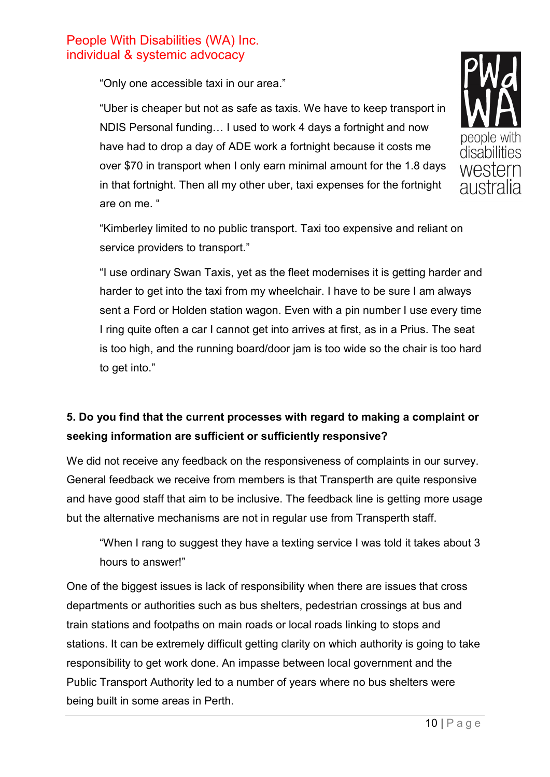"Only one accessible taxi in our area."

"Uber is cheaper but not as safe as taxis. We have to keep transport in NDIS Personal funding… I used to work 4 days a fortnight and now have had to drop a day of ADE work a fortnight because it costs me over \$70 in transport when I only earn minimal amount for the 1.8 days in that fortnight. Then all my other uber, taxi expenses for the fortnight are on me. "



"Kimberley limited to no public transport. Taxi too expensive and reliant on service providers to transport."

"I use ordinary Swan Taxis, yet as the fleet modernises it is getting harder and harder to get into the taxi from my wheelchair. I have to be sure I am always sent a Ford or Holden station wagon. Even with a pin number I use every time I ring quite often a car I cannot get into arrives at first, as in a Prius. The seat is too high, and the running board/door jam is too wide so the chair is too hard to get into."

## **5. Do you find that the current processes with regard to making a complaint or seeking information are sufficient or sufficiently responsive?**

We did not receive any feedback on the responsiveness of complaints in our survey. General feedback we receive from members is that Transperth are quite responsive and have good staff that aim to be inclusive. The feedback line is getting more usage but the alternative mechanisms are not in regular use from Transperth staff.

"When I rang to suggest they have a texting service I was told it takes about 3 hours to answer!"

One of the biggest issues is lack of responsibility when there are issues that cross departments or authorities such as bus shelters, pedestrian crossings at bus and train stations and footpaths on main roads or local roads linking to stops and stations. It can be extremely difficult getting clarity on which authority is going to take responsibility to get work done. An impasse between local government and the Public Transport Authority led to a number of years where no bus shelters were being built in some areas in Perth.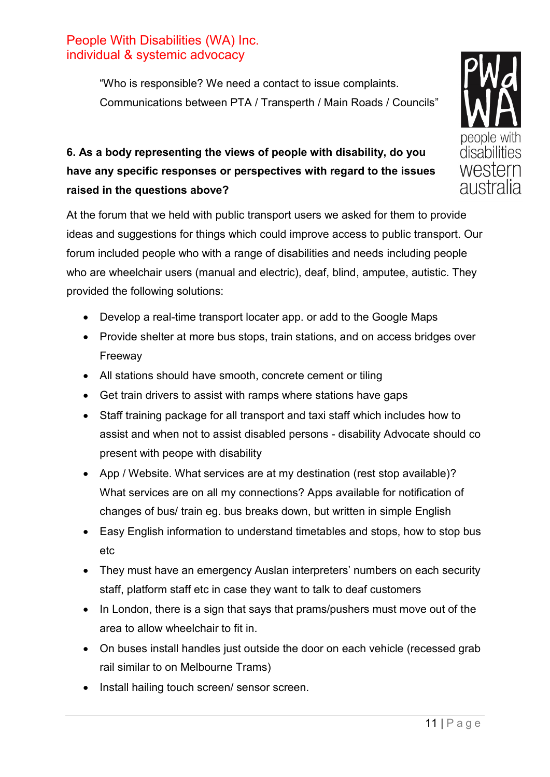"Who is responsible? We need a contact to issue complaints. Communications between PTA / Transperth / Main Roads / Councils"

# **6. As a body representing the views of people with disability, do you have any specific responses or perspectives with regard to the issues raised in the questions above?**

At the forum that we held with public transport users we asked for them to provide ideas and suggestions for things which could improve access to public transport. Our forum included people who with a range of disabilities and needs including people who are wheelchair users (manual and electric), deaf, blind, amputee, autistic. They provided the following solutions:

- Develop a real-time transport locater app. or add to the Google Maps
- Provide shelter at more bus stops, train stations, and on access bridges over Freeway
- All stations should have smooth, concrete cement or tiling
- Get train drivers to assist with ramps where stations have gaps
- Staff training package for all transport and taxi staff which includes how to assist and when not to assist disabled persons - disability Advocate should co present with peope with disability
- App / Website. What services are at my destination (rest stop available)? What services are on all my connections? Apps available for notification of changes of bus/ train eg. bus breaks down, but written in simple English
- Easy English information to understand timetables and stops, how to stop bus etc
- They must have an emergency Auslan interpreters' numbers on each security staff, platform staff etc in case they want to talk to deaf customers
- In London, there is a sign that says that prams/pushers must move out of the area to allow wheelchair to fit in.
- On buses install handles just outside the door on each vehicle (recessed grab rail similar to on Melbourne Trams)
- Install hailing touch screen/ sensor screen.

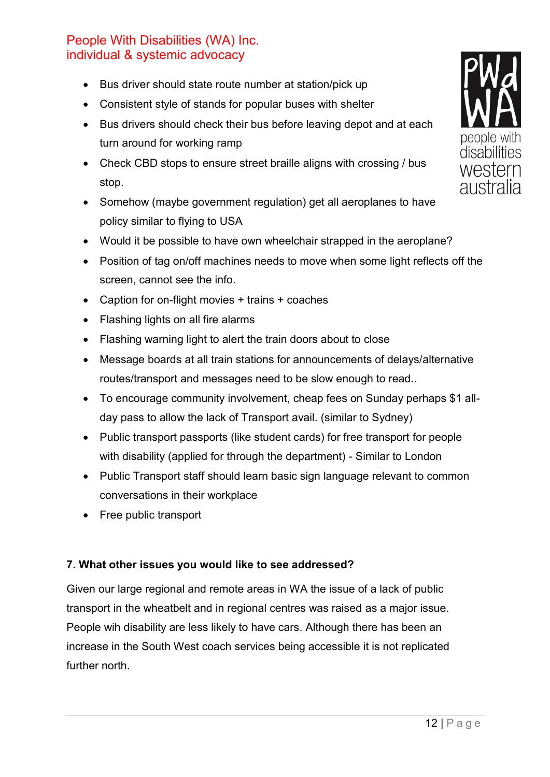- Bus driver should state route number at station/pick up
- Consistent style of stands for popular buses with shelter
- Bus drivers should check their bus before leaving depot and at each turn around for working ramp
- Check CBD stops to ensure street braille aligns with crossing / bus stop.
- Somehow (maybe government regulation) get all aeroplanes to have policy similar to flying to USA
- Would it be possible to have own wheelchair strapped in the aeroplane?
- Position of tag on/off machines needs to move when some light reflects off the screen, cannot see the info.
- Caption for on-flight movies + trains + coaches
- Flashing lights on all fire alarms
- Flashing warning light to alert the train doors about to close
- Message boards at all train stations for announcements of delays/alternative routes/transport and messages need to be slow enough to read..
- To encourage community involvement, cheap fees on Sunday perhaps \$1 allday pass to allow the lack of Transport avail. (similar to Sydney)
- Public transport passports (like student cards) for free transport for people with disability (applied for through the department) - Similar to London
- Public Transport staff should learn basic sign language relevant to common conversations in their workplace
- Free public transport

#### **7. What other issues you would like to see addressed?**

Given our large regional and remote areas in WA the issue of a lack of public transport in the wheatbelt and in regional centres was raised as a major issue. People wih disability are less likely to have cars. Although there has been an increase in the South West coach services being accessible it is not replicated further north.